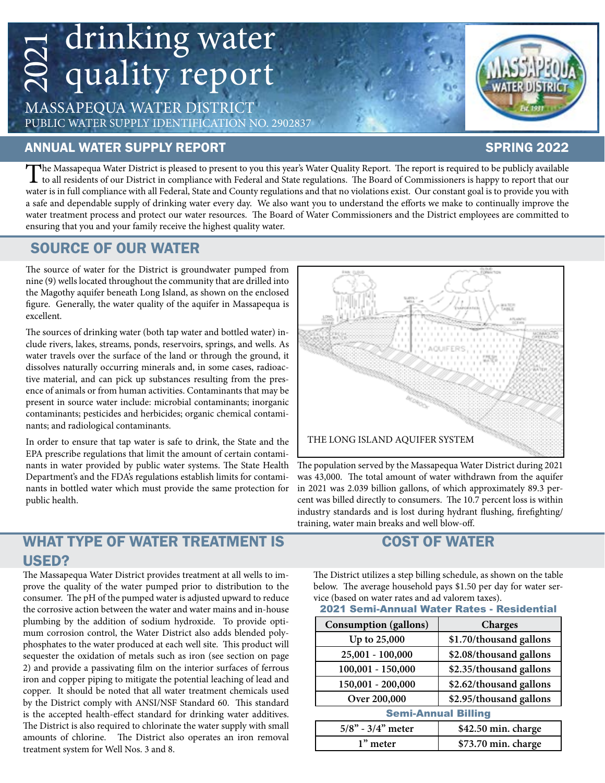# drinking water quality report 2021

MASSAPEQUA WATER DISTRICT PUBLIC WATER SUPPLY IDENTIFICATION NO. 2902837

#### ANNUAL WATER SUPPLY REPORT SPRING 2022

#### The Massapequa Water District is pleased to present to you this year's Water Quality Report. The report is required to be publicly available<br>to all residents of our District in compliance with Federal and State regulations water is in full compliance with all Federal, State and County regulations and that no violations exist. Our constant goal is to provide you with a safe and dependable supply of drinking water every day. We also want you to understand the efforts we make to continually improve the water treatment process and protect our water resources. The Board of Water Commissioners and the District employees are committed to ensuring that you and your family receive the highest quality water.

### SOURCE OF OUR WATER

The source of water for the District is groundwater pumped from nine (9) wells located throughout the community that are drilled into the Magothy aquifer beneath Long Island, as shown on the enclosed figure. Generally, the water quality of the aquifer in Massapequa is excellent.

The sources of drinking water (both tap water and bottled water) include rivers, lakes, streams, ponds, reservoirs, springs, and wells. As water travels over the surface of the land or through the ground, it dissolves naturally occurring minerals and, in some cases, radioactive material, and can pick up substances resulting from the presence of animals or from human activities. Contaminants that may be present in source water include: microbial contaminants; inorganic contaminants; pesticides and herbicides; organic chemical contaminants; and radiological contaminants.

In order to ensure that tap water is safe to drink, the State and the EPA prescribe regulations that limit the amount of certain contaminants in water provided by public water systems. The State Health Department's and the FDA's regulations establish limits for contaminants in bottled water which must provide the same protection for public health.

### WHAT TYPE OF WATER TREATMENT IS USED?

The Massapequa Water District provides treatment at all wells to improve the quality of the water pumped prior to distribution to the consumer. The pH of the pumped water is adjusted upward to reduce the corrosive action between the water and water mains and in-house plumbing by the addition of sodium hydroxide. To provide optimum corrosion control, the Water District also adds blended polyphosphates to the water produced at each well site. This product will sequester the oxidation of metals such as iron (see section on page 2) and provide a passivating film on the interior surfaces of ferrous iron and copper piping to mitigate the potential leaching of lead and copper. It should be noted that all water treatment chemicals used by the District comply with ANSI/NSF Standard 60. This standard is the accepted health-effect standard for drinking water additives. The District is also required to chlorinate the water supply with small amounts of chlorine. The District also operates an iron removal treatment system for Well Nos. 3 and 8.



The population served by the Massapequa Water District during 2021 was 43,000. The total amount of water withdrawn from the aquifer in 2021 was 2.039 billion gallons, of which approximately 89.3 percent was billed directly to consumers. The 10.7 percent loss is within industry standards and is lost during hydrant flushing, firefighting/ training, water main breaks and well blow-off.

## COST OF WATER

The District utilizes a step billing schedule, as shown on the table below. The average household pays \$1.50 per day for water service (based on water rates and ad valorem taxes).

#### 2021 Semi-Annual Water Rates - Residential

| <b>Consumption (gallons)</b> | <b>Charges</b>          |  |  |  |
|------------------------------|-------------------------|--|--|--|
| Up to 25,000                 | \$1.70/thousand gallons |  |  |  |
| 25,001 - 100,000             | \$2.08/thousand gallons |  |  |  |
| $100,001 - 150,000$          | \$2.35/thousand gallons |  |  |  |
| 150,001 - 200,000            | \$2.62/thousand gallons |  |  |  |
| Over 200,000                 | \$2.95/thousand gallons |  |  |  |
| <b>Semi-Annual Billing</b>   |                         |  |  |  |
| $5/8$ " - $3/4$ " meter      | \$42.50 min. charge     |  |  |  |
| 1" meter                     | \$73.70 min. charge     |  |  |  |

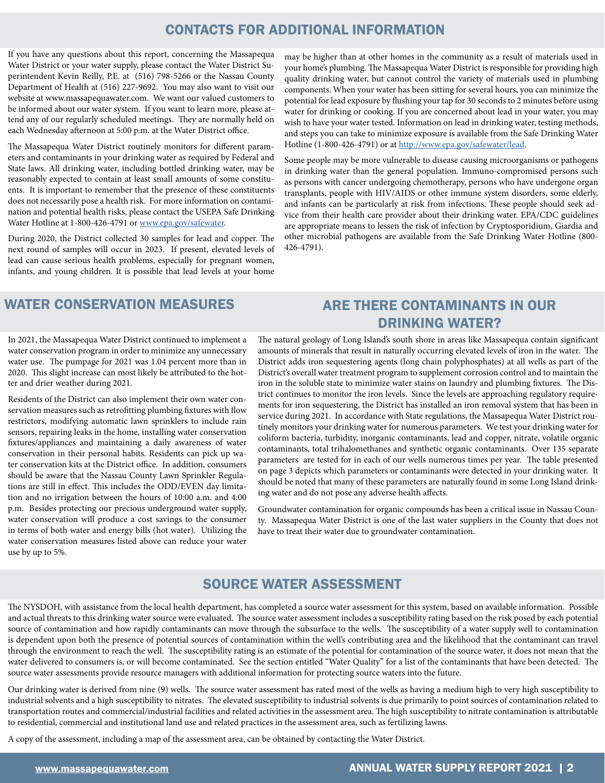#### CONTACTS FOR ADDITIONAL INFORMATION

If you have any questions about this report, concerning the Massapequa Water District or your water supply, please contact the Water District Superintendent Kevin Reilly, P.E. at (516) 798-5266 or the Nassau County Department of Health at (516) 227-9692. You may also want to visit our website at www.massapequawater.com. We want our valued customers to be informed about our water system. If you want to learn more, please attend any of our regularly scheduled meetings. They are normally held on each Wednesday afternoon at 5:00 p.m. at the Water District office.

The Massapequa Water District routinely monitors for different parameters and contaminants in your drinking water as required by Federal and State laws. All drinking water, including bottled drinking water, may be reasonably expected to contain at least small amounts of some constituents. It is important to remember that the presence of these constituents does not necessarily pose a health risk. For more information on contamination and potential health risks, please contact the USEPA Safe Drinking Water Hotline at 1-800-426-4791 or [www.epa.gov/safewater.](http://www.epa.gov/safewater)

During 2020, the District collected 30 samples for lead and copper. The next round of samples will occur in 2023. If present, elevated levels of lead can cause serious health problems, especially for pregnant women, infants, and young children. It is possible that lead levels at your home

may be higher than at other homes in the community as a result of materials used in your home's plumbing. The Massapequa Water District is responsible for providing high quality drinking water, but cannot control the variety of materials used in plumbing components. When your water has been sitting for several hours, you can minimize the potential for lead exposure by flushing your tap for 30 seconds to 2 minutes before using water for drinking or cooking. If you are concerned about lead in your water, you may wish to have your water tested. Information on lead in drinking water, testing methods, and steps you can take to minimize exposure is available from the Safe Drinking Water Hotline (1-800-426-4791) or at [http://www.epa.gov/safewater/lead.](http://www.epa.gov/safewater/lead)

Some people may be more vulnerable to disease causing microorganisms or pathogens in drinking water than the general population. Immuno-compromised persons such as persons with cancer undergoing chemotherapy, persons who have undergone organ transplants, people with HIV/AIDS or other immune system disorders, some elderly, and infants can be particularly at risk from infections. These people should seek advice from their health care provider about their drinking water. EPA/CDC guidelines are appropriate means to lessen the risk of infection by Cryptosporidium, Giardia and other microbial pathogens are available from the Safe Drinking Water Hotline (800- 426-4791).

#### WATER CONSERVATION MEASURES

#### ARE THERE CONTAMINANTS IN OUR DRINKING WATER?

In 2021, the Massapequa Water District continued to implement a water conservation program in order to minimize any unnecessary water use. The pumpage for 2021 was 1.04 percent more than in 2020. This slight increase can most likely be attributed to the hotter and drier weather during 2021.

Residents of the District can also implement their own water conservation measures such as retrofitting plumbing fixtures with flow restrictors, modifying automatic lawn sprinklers to include rain sensors, repairing leaks in the home, installing water conservation fixtures/appliances and maintaining a daily awareness of water conservation in their personal habits. Residents can pick up water conservation kits at the District office. In addition, consumers should be aware that the Nassau County Lawn Sprinkler Regulations are still in effect. This includes the ODD/EVEN day limitation and no irrigation between the hours of 10:00 a.m. and 4:00 p.m. Besides protecting our precious underground water supply, water conservation will produce a cost savings to the consumer in terms of both water and energy bills (hot water). Utilizing the water conservation measures listed above can reduce your water use by up to 5%.

The natural geology of Long Island's south shore in areas like Massapequa contain significant amounts of minerals that result in naturally occurring elevated levels of iron in the water. The District adds iron sequestering agents (long chain polyphosphates) at all wells as part of the District's overall water treatment program to supplement corrosion control and to maintain the iron in the soluble state to minimize water stains on laundry and plumbing fixtures. The District continues to monitor the iron levels. Since the levels are approaching regulatory requirements for iron sequestering, the District has installed an iron removal system that has been in service during 2021. In accordance with State regulations, the Massapequa Water District routinely monitors your drinking water for numerous parameters. We test your drinking water for coliform bacteria, turbidity, inorganic contaminants, lead and copper, nitrate, volatile organic contaminants, total trihalomethanes and synthetic organic contaminants. Over 135 separate parameters are tested for in each of our wells numerous times per year. The table presented on page 3 depicts which parameters or contaminants were detected in your drinking water. It should be noted that many of these parameters are naturally found in some Long Island drinking water and do not pose any adverse health affects.

Groundwater contamination for organic compounds has been a critical issue in Nassau County. Massapequa Water District is one of the last water suppliers in the County that does not have to treat their water due to groundwater contamination.

#### SOURCE WATER ASSESSMENT

The NYSDOH, with assistance from the local health department, has completed a source water assessment for this system, based on available information. Possible and actual threats to this drinking water source were evaluated. The source water assessment includes a susceptibility rating based on the risk posed by each potential source of contamination and how rapidly contaminants can move through the subsurface to the wells. The susceptibility of a water supply well to contamination is dependent upon both the presence of potential sources of contamination within the well's contributing area and the likelihood that the contaminant can travel through the environment to reach the well. The susceptibility rating is an estimate of the potential for contamination of the source water, it does not mean that the water delivered to consumers is, or will become contaminated. See the section entitled "Water Quality" for a list of the contaminants that have been detected. The source water assessments provide resource managers with additional information for protecting source waters into the future.

Our drinking water is derived from nine (9) wells. The source water assessment has rated most of the wells as having a medium high to very high susceptibility to industrial solvents and a high susceptibility to nitrates. The elevated susceptibility to industrial solvents is due primarily to point sources of contamination related to transportation routes and commercial/industrial facilities and related activities in the assessment area. The high susceptibility to nitrate contamination is attributable to residential, commercial and institutional land use and related practices in the assessment area, such as fertilizing lawns.

A copy of the assessment, including a map of the assessment area, can be obtained by contacting the Water District.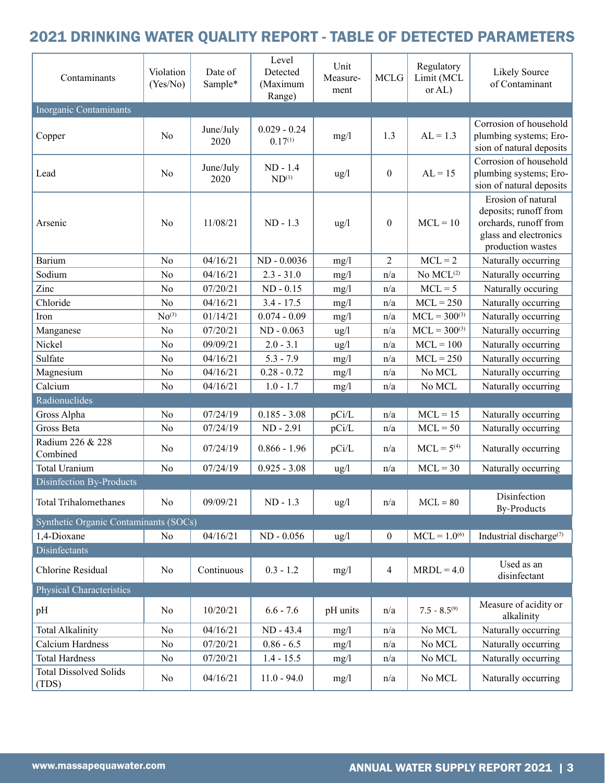# 2021 DRINKING WATER QUALITY REPORT - TABLE OF DETECTED PARAMETERS

| Contaminants                           | Violation<br>(Yes/No) | Date of<br>Sample* | Level<br>Detected<br>(Maximum<br>Range) | Unit<br>Measure-<br>ment | <b>MCLG</b>      | Regulatory<br>Limit (MCL<br>or AL) | <b>Likely Source</b><br>of Contaminant                                                                             |
|----------------------------------------|-----------------------|--------------------|-----------------------------------------|--------------------------|------------------|------------------------------------|--------------------------------------------------------------------------------------------------------------------|
| <b>Inorganic Contaminants</b>          |                       |                    |                                         |                          |                  |                                    |                                                                                                                    |
| Copper                                 | N <sub>0</sub>        | June/July<br>2020  | $0.029 - 0.24$<br>$0.17^{(1)}$          | mg/1                     | 1.3              | $AL = 1.3$                         | Corrosion of household<br>plumbing systems; Ero-<br>sion of natural deposits                                       |
| Lead                                   | N <sub>o</sub>        | June/July<br>2020  | ND - 1.4<br>$ND^{(1)}$                  | $\frac{u g}{l}$          | $\boldsymbol{0}$ | $AL = 15$                          | Corrosion of household<br>plumbing systems; Ero-<br>sion of natural deposits                                       |
| Arsenic                                | N <sub>o</sub>        | 11/08/21           | $ND - 1.3$                              | $\frac{u g}{l}$          | $\boldsymbol{0}$ | $MCL = 10$                         | Erosion of natural<br>deposits; runoff from<br>orchards, runoff from<br>glass and electronics<br>production wastes |
| <b>Barium</b>                          | N <sub>o</sub>        | 04/16/21           | ND - 0.0036                             | mg/l                     | $\overline{2}$   | $MCL = 2$                          | Naturally occurring                                                                                                |
| Sodium                                 | N <sub>o</sub>        | 04/16/21           | $2.3 - 31.0$                            | mg/1                     | n/a              | No MCL <sup>(2)</sup>              | Naturally occurring                                                                                                |
| Zinc                                   | N <sub>o</sub>        | 07/20/21           | $ND - 0.15$                             | mg/1                     | n/a              | $MCL = 5$                          | Naturally occuring                                                                                                 |
| Chloride                               | N <sub>o</sub>        | 04/16/21           | $3.4 - 17.5$                            | mg/1                     | n/a              | $MCL = 250$                        | Naturally occurring                                                                                                |
| Iron                                   | No <sup>(3)</sup>     | 01/14/21           | $0.074 - 0.09$                          | mg/1                     | n/a              | $MCL = 300^{(3)}$                  | Naturally occurring                                                                                                |
| Manganese                              | No                    | 07/20/21           | $ND - 0.063$                            | ug/l                     | n/a              | $MCL = 300^{(3)}$                  | Naturally occurring                                                                                                |
| Nickel                                 | N <sub>0</sub>        | 09/09/21           | $2.0 - 3.1$                             | ug/l                     | n/a              | $MCL = 100$                        | Naturally occurring                                                                                                |
| Sulfate                                | N <sub>o</sub>        | 04/16/21           | $5.3 - 7.9$                             | mg/1                     | n/a              | $MCL = 250$                        | Naturally occurring                                                                                                |
| Magnesium                              | N <sub>o</sub>        | 04/16/21           | $0.28 - 0.72$                           | mg/1                     | n/a              | No MCL                             | Naturally occurring                                                                                                |
| Calcium                                | N <sub>o</sub>        | 04/16/21           | $1.0 - 1.7$                             | mg/l                     | n/a              | No MCL                             | Naturally occurring                                                                                                |
| Radionuclides                          |                       |                    |                                         |                          |                  |                                    |                                                                                                                    |
| Gross Alpha                            | N <sub>o</sub>        | 07/24/19           | $0.185 - 3.08$                          | pCi/L                    | n/a              | $MCL = 15$                         | Naturally occurring                                                                                                |
| Gross Beta                             | N <sub>o</sub>        | 07/24/19           | ND - 2.91                               | pCi/L                    | n/a              | $MCL = 50$                         | Naturally occurring                                                                                                |
| Radium 226 & 228<br>Combined           | No                    | 07/24/19           | $0.866 - 1.96$                          | pCi/L                    | n/a              | $MCL = 5(4)$                       | Naturally occurring                                                                                                |
| <b>Total Uranium</b>                   | No                    | 07/24/19           | $0.925 - 3.08$                          | ug/l                     | n/a              | $MCL = 30$                         | Naturally occurring                                                                                                |
| <b>Disinfection By-Products</b>        |                       |                    |                                         |                          |                  |                                    |                                                                                                                    |
| <b>Total Trihalomethanes</b>           | N <sub>o</sub>        | 09/09/21           | $ND - 1.3$                              | $\frac{u g}{l}$          | n/a              | $MCL = 80$                         | Disinfection<br><b>By-Products</b>                                                                                 |
| Synthetic Organic Contaminants (SOCs)  |                       |                    |                                         |                          |                  |                                    |                                                                                                                    |
| 1,4-Dioxane                            | No                    | 04/16/21           | ND - 0.056                              | ug/l                     | $\boldsymbol{0}$ | $MCL = 1.0^{(6)}$                  | Industrial discharge <sup>(7)</sup>                                                                                |
| Disinfectants                          |                       |                    |                                         |                          |                  |                                    |                                                                                                                    |
| Chlorine Residual                      | No                    | Continuous         | $0.3 - 1.2$                             | mg/l                     | $\overline{4}$   | $MRDL = 4.0$                       | Used as an<br>disinfectant                                                                                         |
| <b>Physical Characteristics</b>        |                       |                    |                                         |                          |                  |                                    |                                                                                                                    |
| pH                                     | No                    | 10/20/21           | $6.6 - 7.6$                             | pH units                 | n/a              | $7.5 - 8.5^{(9)}$                  | Measure of acidity or<br>alkalinity                                                                                |
| <b>Total Alkalinity</b>                | N <sub>o</sub>        | 04/16/21           | ND - 43.4                               | mg/1                     | n/a              | No MCL                             | Naturally occurring                                                                                                |
| Calcium Hardness                       | N <sub>0</sub>        | 07/20/21           | $0.86 - 6.5$                            | mg/1                     | n/a              | No MCL                             | Naturally occurring                                                                                                |
| <b>Total Hardness</b>                  | N <sub>0</sub>        | 07/20/21           | $1.4 - 15.5$                            | mg/l                     | n/a              | No MCL                             | Naturally occurring                                                                                                |
| <b>Total Dissolved Solids</b><br>(TDS) | No                    | 04/16/21           | $11.0 - 94.0$                           | mg/l                     | n/a              | No MCL                             | Naturally occurring                                                                                                |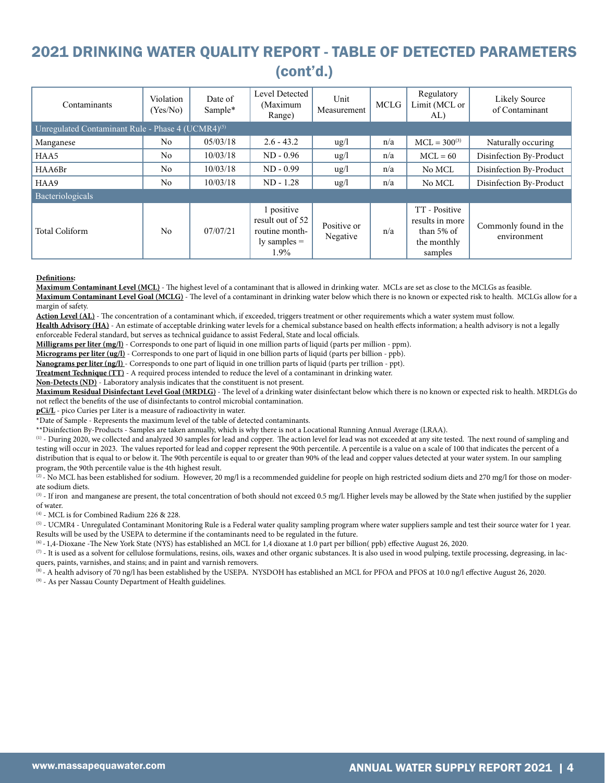# 2021 DRINKING WATER QUALITY REPORT - TABLE OF DETECTED PARAMETERS (cont'd.)

| Contaminants                                                  | Violation<br>(Yes/No) | Date of<br>Sample* | Level Detected<br>(Maximum<br>Range)                                         | Unit<br>Measurement     | <b>MCLG</b> | Regulatory<br>Limit (MCL or<br>AL)                                       | Likely Source<br>of Contaminant      |
|---------------------------------------------------------------|-----------------------|--------------------|------------------------------------------------------------------------------|-------------------------|-------------|--------------------------------------------------------------------------|--------------------------------------|
| Unregulated Contaminant Rule - Phase 4 (UCMR4) <sup>(5)</sup> |                       |                    |                                                                              |                         |             |                                                                          |                                      |
| Manganese                                                     | N <sub>0</sub>        | 05/03/18           | $2.6 - 43.2$                                                                 | $\frac{u}{2}$           | n/a         | $MCL = 300^{(3)}$                                                        | Naturally occuring                   |
| HAA5                                                          | N <sub>0</sub>        | 10/03/18           | $ND - 0.96$                                                                  | $\frac{u}{2}$           | n/a         | $MCL = 60$                                                               | Disinfection By-Product              |
| HAA6Br                                                        | N <sub>0</sub>        | 10/03/18           | $ND - 0.99$                                                                  | $\frac{u}{2}$           | n/a         | No MCL                                                                   | Disinfection By-Product              |
| HAA9                                                          | N <sub>0</sub>        | 10/03/18           | $ND - 1.28$                                                                  | $\frac{u}{g}$           | n/a         | No MCL                                                                   | Disinfection By-Product              |
| <b>Bacteriologicals</b>                                       |                       |                    |                                                                              |                         |             |                                                                          |                                      |
| <b>Total Coliform</b>                                         | No                    | 07/07/21           | 1 positive<br>result out of 52<br>routine month-<br>$ly$ samples $=$<br>1.9% | Positive or<br>Negative | n/a         | TT - Positive<br>results in more<br>than 5% of<br>the monthly<br>samples | Commonly found in the<br>environment |

#### **Definitions:**

**Maximum Contaminant Level (MCL)** - The highest level of a contaminant that is allowed in drinking water. MCLs are set as close to the MCLGs as feasible.

**Maximum Contaminant Level Goal (MCLG)** - The level of a contaminant in drinking water below which there is no known or expected risk to health. MCLGs allow for a margin of safety.

**Action Level (AL)** - The concentration of a contaminant which, if exceeded, triggers treatment or other requirements which a water system must follow.

Health Advisory (HA) - An estimate of acceptable drinking water levels for a chemical substance based on health effects information; a health advisory is not a legally enforceable Federal standard, but serves as technical guidance to assist Federal, State and local officials.

**Milligrams per liter (mg/l)** - Corresponds to one part of liquid in one million parts of liquid (parts per million - ppm).

**Micrograms per liter (ug/l)** - Corresponds to one part of liquid in one billion parts of liquid (parts per billion - ppb).

**Nanograms per liter (ng/l)** - Corresponds to one part of liquid in one trillion parts of liquid (parts per trillion - ppt).

**Treatment Technique (TT)** - A required process intended to reduce the level of a contaminant in drinking water.

**Non-Detects (ND)** - Laboratory analysis indicates that the constituent is not present.

**Maximum Residual Disinfectant Level Goal (MRDLG)** - The level of a drinking water disinfectant below which there is no known or expected risk to health. MRDLGs do not reflect the benefits of the use of disinfectants to control microbial contamination.

**pCi/L** - pico Curies per Liter is a measure of radioactivity in water.

\*Date of Sample - Represents the maximum level of the table of detected contaminants.

\*\*Disinfection By-Products - Samples are taken annually, which is why there is not a Locational Running Annual Average (LRAA).

(1) - During 2020, we collected and analyzed 30 samples for lead and copper. The action level for lead was not exceeded at any site tested. The next round of sampling and testing will occur in 2023. The values reported for lead and copper represent the 90th percentile. A percentile is a value on a scale of 100 that indicates the percent of a distribution that is equal to or below it. The 90th percentile is equal to or greater than 90% of the lead and copper values detected at your water system. In our sampling program, the 90th percentile value is the 4th highest result.

(2) - No MCL has been established for sodium. However, 20 mg/l is a recommended guideline for people on high restricted sodium diets and 270 mg/l for those on moderate sodium diets.

(3) - If iron and manganese are present, the total concentration of both should not exceed 0.5 mg/l. Higher levels may be allowed by the State when justified by the supplier of water.

(4) - MCL is for Combined Radium 226 & 228.

 $<sup>(5)</sup>$  - UCMR4 - Unregulated Contaminant Monitoring Rule is a Federal water quality sampling program where water suppliers sample and test their source water for 1 year.</sup> Results will be used by the USEPA to determine if the contaminants need to be regulated in the future.

(6) - 1,4-Dioxane -The New York State (NYS) has established an MCL for 1,4 dioxane at 1.0 part per billion( ppb) effective August 26, 2020.

 $(7)$  - It is used as a solvent for cellulose formulations, resins, oils, waxes and other organic substances. It is also used in wood pulping, textile processing, degreasing, in lacquers, paints, varnishes, and stains; and in paint and varnish removers.

(8) - A health advisory of 70 ng/l has been established by the USEPA. NYSDOH has established an MCL for PFOA and PFOS at 10.0 ng/l effective August 26, 2020.

(9) - As per Nassau County Department of Health guidelines.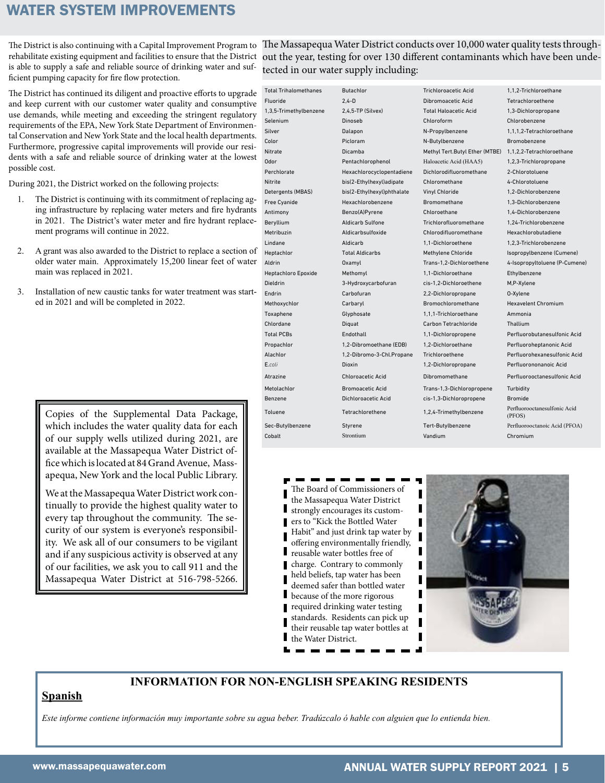#### WATER SYSTEM IMPROVEMENTS

The District is also continuing with a Capital Improvement Program to rehabilitate existing equipment and facilities to ensure that the District is able to supply a safe and reliable source of drinking water and sufficient pumping capacity for fire flow protection.

The District has continued its diligent and proactive efforts to upgrade and keep current with our customer water quality and consumptive use demands, while meeting and exceeding the stringent regulatory requirements of the EPA, New York State Department of Environmental Conservation and New York State and the local health departments. Furthermore, progressive capital improvements will provide our residents with a safe and reliable source of drinking water at the lowest possible cost.

During 2021, the District worked on the following projects:

- 1. The District is continuing with its commitment of replacing aging infrastructure by replacing water meters and fire hydrants in 2021. The District's water meter and fire hydrant replacement programs will continue in 2022.
- 2. A grant was also awarded to the District to replace a section of older water main. Approximately 15,200 linear feet of water main was replaced in 2021.
- 3. Installation of new caustic tanks for water treatment was started in 2021 and will be completed in 2022.

Copies of the Supplemental Data Package, which includes the water quality data for each of our supply wells utilized during 2021, are available at the Massapequa Water District office which is located at 84 Grand Avenue, Massapequa, New York and the local Public Library.

We at the Massapequa Water District work continually to provide the highest quality water to every tap throughout the community. The security of our system is everyone's responsibility. We ask all of our consumers to be vigilant and if any suspicious activity is observed at any of our facilities, we ask you to call 911 and the Massapequa Water District at 516-798-5266.

The Massapequa Water District conducts over 10,000 water quality tests throughout the year, testing for over 130 different contaminants which have been undetected in our water supply including:

| <b>Total Trihalomethanes</b> | <b>Butachlor</b>           | <b>Trichloroacetic Acid</b>    | 1.1.2-Trichloroethane                  |
|------------------------------|----------------------------|--------------------------------|----------------------------------------|
| Fluoride                     | $2.4 - D$                  | Dibromoacetic Acid             | Tetrachloroethene                      |
| 1,3,5-Trimethylbenzene       | 2,4,5-TP (Silvex)          | <b>Total Haloacetic Acid</b>   | 1,3-Dichloropropane                    |
| Selenium                     | Dinoseb                    | Chloroform                     | Chlorobenzene                          |
| Silver                       | Dalapon                    | N-Propylbenzene                | 1,1,1,2-Tetrachloroethane              |
| Color                        | Picloram                   | N-Butylbenzene                 | Bromobenzene                           |
| Nitrate                      | Dicamba                    | Methyl Tert.Butyl Ether (MTBE) | 1,1,2,2-Tetrachloroethane              |
| Odor                         | Pentachlorophenol          | Haloacetic Acid (HAA5)         | 1,2,3-Trichloropropane                 |
| Perchlorate                  | Hexachlorocyclopentadiene  | Dichlorodifluoromethane        | 2-Chlorotoluene                        |
| Nitrite                      | bis(2-Ethylhexyl)adipate   | Chloromethane                  | 4-Chlorotoluene                        |
| Detergents (MBAS)            | bis(2-Ethylhexyl)phthalate | <b>Vinyl Chloride</b>          | 1.2-Dichlorobenzene                    |
| Free Cyanide                 | Hexachlorobenzene          | <b>Bromomethane</b>            | 1,3-Dichlorobenzene                    |
| Antimony                     | Benzo(A)Pyrene             | Chloroethane                   | 1,4-Dichlorobenzene                    |
| Beryllium                    | <b>Aldicarb Sulfone</b>    | Trichlorofluoromethane         | 1.24-Trichlorobenzene                  |
| Metribuzin                   | Aldicarbsulfoxide          | Chlorodifluoromethane          | Hexachlorobutadiene                    |
| Lindane                      | Aldicarb                   | 1.1-Dichloroethene             | 1,2,3-Trichlorobenzene                 |
| Heptachlor                   | <b>Total Aldicarbs</b>     | Methylene Chloride             | Isopropylbenzene (Cumene)              |
| Aldrin                       | Oxamyl                     | Trans-1,2-Dichloroethene       | 4-Isopropyltoluene (P-Cumene)          |
| <b>Heptachloro Epoxide</b>   | Methomyl                   | 1.1-Dichloroethane             | Ethylbenzene                           |
| <b>Dieldrin</b>              | 3-Hydroxycarbofuran        | cis-1,2-Dichloroethene         | M,P-Xylene                             |
| Endrin                       | Carbofuran                 | 2,2-Dichloropropane            | 0-Xylene                               |
| Methoxychlor                 | Carbaryl                   | Bromochloromethane             | <b>Hexavelent Chromium</b>             |
| Toxaphene                    | Glyphosate                 | 1,1,1-Trichloroethane          | Ammonia                                |
| Chlordane                    | Diguat                     | Carbon Tetrachloride           | Thallium                               |
| <b>Total PCBs</b>            | Endothall                  | 1,1-Dichloropropene            | Perfluorobutanesulfonic Acid           |
| Propachlor                   | 1,2-Dibromoethane (EDB)    | 1.2-Dichloroethane             | Perfluoroheptanonic Acid               |
| Alachlor                     | 1,2-Dibromo-3-Chl.Propane  | Trichloroethene                | Perfluorohexanesulfonic Acid           |
| E.coli                       | <b>Dioxin</b>              | 1,2-Dichloropropane            | Perfluorononanoic Acid                 |
| Atrazine                     | <b>Chloroacetic Acid</b>   | Dibromomethane                 | Perfluorooctanesulfonic Acid           |
| Metolachlor                  | <b>Bromoacetic Acid</b>    | Trans-1,3-Dichloropropene      | Turbidity                              |
| Benzene                      | Dichloroacetic Acid        | cis-1,3-Dichloropropene        | <b>Bromide</b>                         |
| Toluene                      | Tetrachlorethene           | 1,2,4-Trimethylbenzene         | Perfluorooctanesulfonic Acid<br>(PFOS) |
| Sec-Butylbenzene             | Styrene                    | Tert-Butylbenzene              | Perfluorooctanoic Acid (PFOA)          |
| Cobalt                       | Strontium                  | Vandium                        | Chromium                               |
|                              |                            |                                |                                        |

The Board of Commissioners of the Massapequa Water District strongly encourages its customers to "Kick the Bottled Water Habit" and just drink tap water by offering environmentally friendly, reusable water bottles free of charge. Contrary to commonly held beliefs, tap water has been deemed safer than bottled water because of the more rigorous required drinking water testing standards. Residents can pick up their reusable tap water bottles at the Water District.



#### **INFORMATION FOR NON-ENGLISH SPEAKING RESIDENTS**

#### **Spanish**

*Este informe contiene información muy importante sobre su agua beber. Tradúzcalo ó hable con alguien que lo entienda bien.*